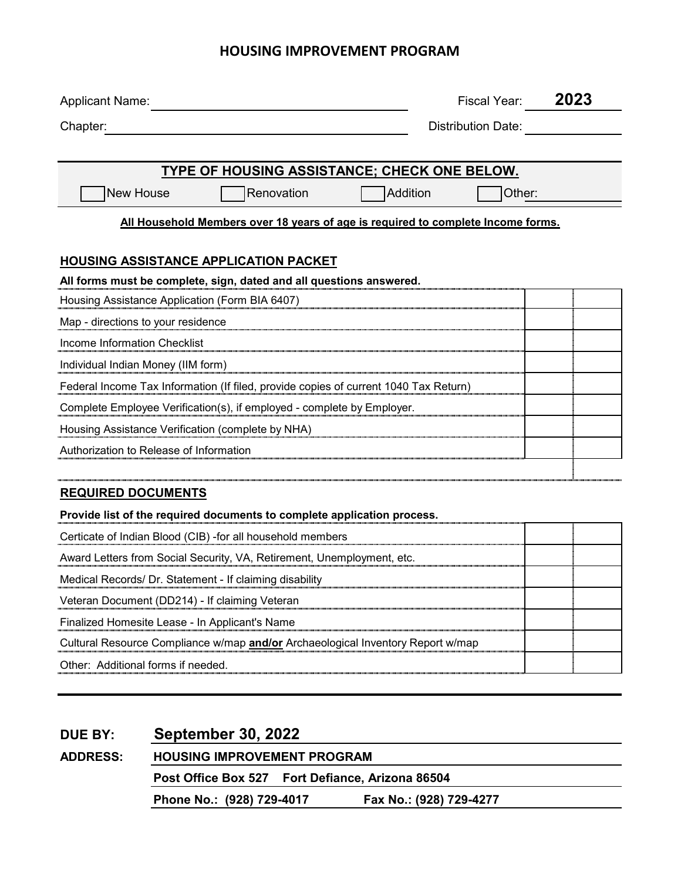## **HOUSING IMPROVEMENT PROGRAM**

| <b>Applicant Name:</b>                                                                 |                                                                                  |                 | Fiscal Year:              | 2023 |
|----------------------------------------------------------------------------------------|----------------------------------------------------------------------------------|-----------------|---------------------------|------|
| Chapter:                                                                               |                                                                                  |                 | <b>Distribution Date:</b> |      |
|                                                                                        |                                                                                  |                 |                           |      |
|                                                                                        | TYPE OF HOUSING ASSISTANCE; CHECK ONE BELOW.                                     |                 |                           |      |
| New House                                                                              | Renovation                                                                       | <b>Addition</b> | Other:                    |      |
|                                                                                        | All Household Members over 18 years of age is required to complete Income forms. |                 |                           |      |
|                                                                                        |                                                                                  |                 |                           |      |
| <b>HOUSING ASSISTANCE APPLICATION PACKET</b>                                           |                                                                                  |                 |                           |      |
| All forms must be complete, sign, dated and all questions answered.                    |                                                                                  |                 |                           |      |
| Housing Assistance Application (Form BIA 6407)                                         |                                                                                  |                 |                           |      |
| Map - directions to your residence                                                     |                                                                                  |                 |                           |      |
| Income Information Checklist                                                           |                                                                                  |                 |                           |      |
| Individual Indian Money (IIM form)                                                     |                                                                                  |                 |                           |      |
| Federal Income Tax Information (If filed, provide copies of current 1040 Tax Return)   |                                                                                  |                 |                           |      |
| Complete Employee Verification(s), if employed - complete by Employer.                 |                                                                                  |                 |                           |      |
| Housing Assistance Verification (complete by NHA)                                      |                                                                                  |                 |                           |      |
| Authorization to Release of Information                                                |                                                                                  |                 |                           |      |
|                                                                                        |                                                                                  |                 |                           |      |
| <b>REQUIRED DOCUMENTS</b>                                                              |                                                                                  |                 |                           |      |
| Provide list of the required documents to complete application process.                |                                                                                  |                 |                           |      |
| Certicate of Indian Blood (CIB) -for all household members                             |                                                                                  |                 |                           |      |
| Award Letters from Social Security, VA, Retirement, Unemployment, etc.                 |                                                                                  |                 |                           |      |
| Medical Records/ Dr. Statement - If claiming disability                                |                                                                                  |                 |                           |      |
| Veteran Document (DD214) - If claiming Veteran                                         |                                                                                  |                 |                           |      |
| Finalized Homesite Lease - In Applicant's Name                                         |                                                                                  |                 |                           |      |
| Cultural Resource Compliance w/map <b>and/or</b> Archaeological Inventory Report w/map |                                                                                  |                 |                           |      |
| Other: Additional forms if needed.                                                     |                                                                                  |                 |                           |      |
|                                                                                        |                                                                                  |                 |                           |      |
|                                                                                        |                                                                                  |                 |                           |      |

| <b>DUE BY:</b>  | <b>September 30, 2022</b>                        |  |                         |  |  |
|-----------------|--------------------------------------------------|--|-------------------------|--|--|
| <b>ADDRESS:</b> | <b>HOUSING IMPROVEMENT PROGRAM</b>               |  |                         |  |  |
|                 | Post Office Box 527 Fort Defiance, Arizona 86504 |  |                         |  |  |
|                 | Phone No.: (928) 729-4017                        |  | Fax No.: (928) 729-4277 |  |  |
|                 |                                                  |  |                         |  |  |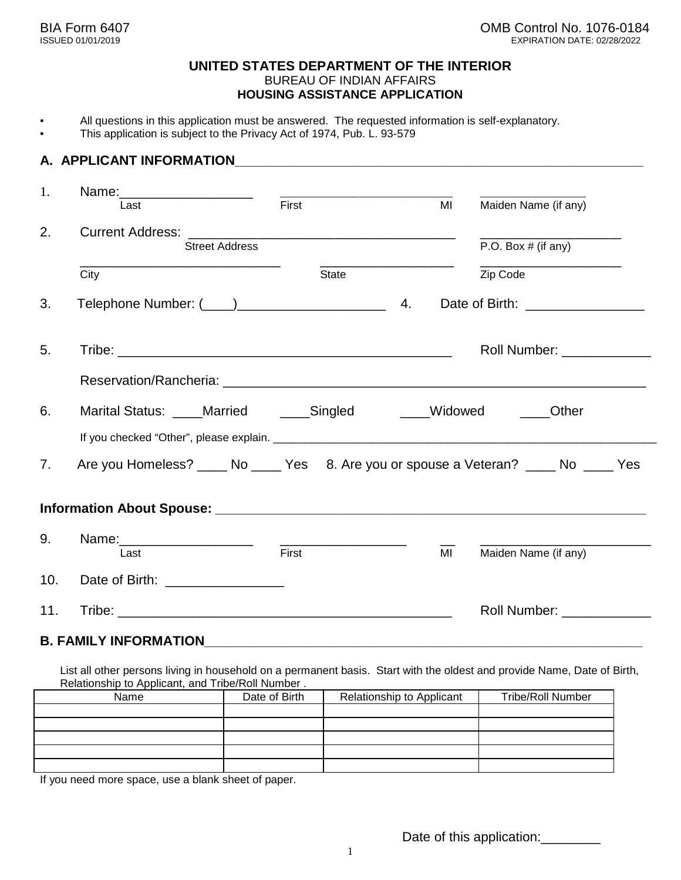### **UNITED STATES DEPARTMENT OF THE INTERIOR** BUREAU OF INDIAN AFFAIRS **HOUSING ASSISTANCE APPLICATION**

- All questions in this application must be answered. The requested information is self-explanatory.
- This application is subject to the Privacy Act of 1974, Pub. L. 93-579

### **A. APPLICANT INFORMATION ALL APPLICANT INFORMATION**

| 1.                             | Name: ______________________                                                            | <u> The Communication of the Communication of the Communication of the Communication of the Communication of the Co</u> |    |                                                                                                                                                                                                                                |
|--------------------------------|-----------------------------------------------------------------------------------------|-------------------------------------------------------------------------------------------------------------------------|----|--------------------------------------------------------------------------------------------------------------------------------------------------------------------------------------------------------------------------------|
|                                | Last                                                                                    | First                                                                                                                   | MI | Maiden Name (if any)                                                                                                                                                                                                           |
| 2.                             |                                                                                         |                                                                                                                         |    |                                                                                                                                                                                                                                |
|                                | <b>Street Address</b>                                                                   |                                                                                                                         |    | P.O. Box $#$ (if any)                                                                                                                                                                                                          |
|                                | City                                                                                    | State                                                                                                                   |    | Zip Code                                                                                                                                                                                                                       |
| 3.                             |                                                                                         |                                                                                                                         |    | Date of Birth: _________________                                                                                                                                                                                               |
| 5.                             |                                                                                         |                                                                                                                         |    | Roll Number: The College of the College of the College of the College of the College of the College of the College of the College of the College of the College of the College of the College of the College of the College of |
|                                |                                                                                         |                                                                                                                         |    |                                                                                                                                                                                                                                |
| 6.                             | Marital Status: ____Married _____Singled _____Widowed ____Other                         |                                                                                                                         |    |                                                                                                                                                                                                                                |
|                                |                                                                                         |                                                                                                                         |    |                                                                                                                                                                                                                                |
| $7_{\scriptscriptstyle{\sim}}$ | Are you Homeless? _____ No _____ Yes 8. Are you or spouse a Veteran? _____ No _____ Yes |                                                                                                                         |    |                                                                                                                                                                                                                                |
|                                |                                                                                         |                                                                                                                         |    |                                                                                                                                                                                                                                |
| 9.                             | Name: ________________________<br>Last                                                  | First                                                                                                                   | MI | Maiden Name (if any)                                                                                                                                                                                                           |
| 10.                            | Date of Birth: <u>____________________</u>                                              |                                                                                                                         |    |                                                                                                                                                                                                                                |
| 11.                            |                                                                                         |                                                                                                                         |    | Roll Number: North States and States and States and States and States and States and States and States and States and States and States and States and States and States and States and States and States and States and State |

### **B. FAMILY INFORMATION**

List all other persons living in household on a permanent basis. Start with the oldest and provide Name, Date of Birth, Relationship to Applicant, and Tribe/Roll Number .

| Name | Date of Birth | Relationship to Applicant | <b>Tribe/Roll Number</b> |
|------|---------------|---------------------------|--------------------------|
|      |               |                           |                          |
|      |               |                           |                          |
|      |               |                           |                          |
|      |               |                           |                          |
|      |               |                           |                          |

If you need more space, use a blank sheet of paper.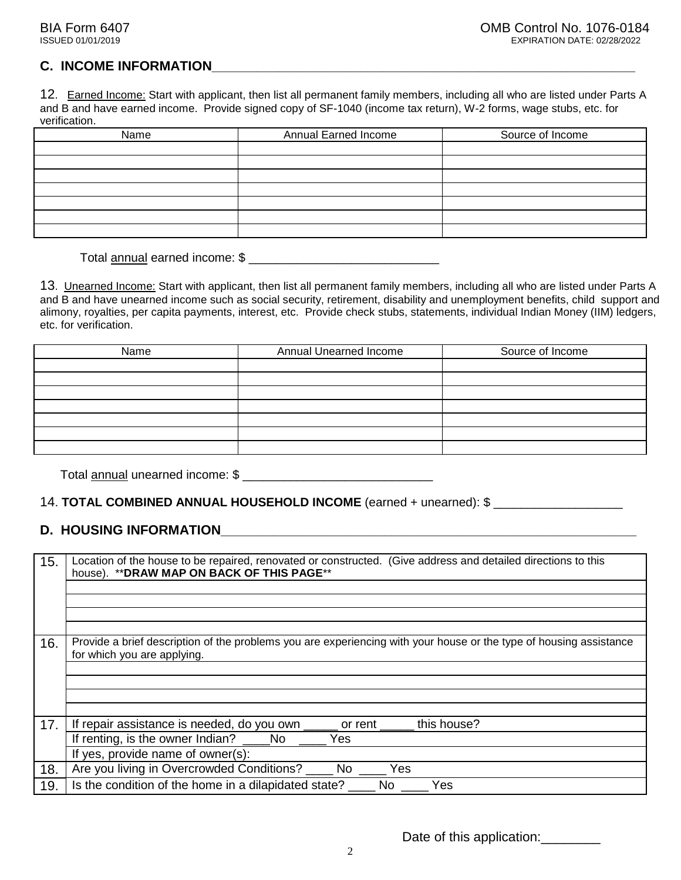### **C. INCOME INFORMATION**

12. Earned Income: Start with applicant, then list all permanent family members, including all who are listed under Parts A and B and have earned income. Provide signed copy of SF-1040 (income tax return), W-2 forms, wage stubs, etc. for verification.

| <b>Annual Earned Income</b> | Source of Income |
|-----------------------------|------------------|
|                             |                  |
|                             |                  |
|                             |                  |
|                             |                  |
|                             |                  |
|                             |                  |
|                             |                  |
|                             |                  |

Total annual earned income: \$ \_\_\_\_\_\_\_\_\_\_\_\_\_\_\_\_\_\_\_\_\_\_\_\_\_\_\_\_

13. Unearned Income: Start with applicant, then list all permanent family members, including all who are listed under Parts A and B and have unearned income such as social security, retirement, disability and unemployment benefits, child support and alimony, royalties, per capita payments, interest, etc. Provide check stubs, statements, individual Indian Money (IIM) ledgers, etc. for verification.

| Name | Annual Unearned Income | Source of Income |  |  |
|------|------------------------|------------------|--|--|
|      |                        |                  |  |  |
|      |                        |                  |  |  |
|      |                        |                  |  |  |
|      |                        |                  |  |  |
|      |                        |                  |  |  |
|      |                        |                  |  |  |
|      |                        |                  |  |  |

Total annual unearned income: \$ \_\_\_\_\_\_\_\_\_\_\_\_\_\_\_\_\_\_\_\_\_\_\_\_\_\_\_\_

### 14. **TOTAL COMBINED ANNUAL HOUSEHOLD INCOME** (earned + unearned): \$ \_\_\_\_\_\_\_\_\_\_\_\_\_\_\_\_\_\_\_

### **D. HOUSING INFORMATION\_\_\_\_\_\_\_\_\_\_\_\_\_\_\_\_\_\_\_\_\_\_\_\_\_\_\_\_\_\_\_\_\_\_\_\_\_\_\_\_\_\_\_\_\_\_\_\_\_\_\_\_\_\_\_\_**

| 15. | Location of the house to be repaired, renovated or constructed. (Give address and detailed directions to this<br>house). ** DRAW MAP ON BACK OF THIS PAGE** |
|-----|-------------------------------------------------------------------------------------------------------------------------------------------------------------|
| 16. | Provide a brief description of the problems you are experiencing with your house or the type of housing assistance<br>for which you are applying.           |
|     |                                                                                                                                                             |
| 17. | this house?<br>If repair assistance is needed, do you own<br>or rent $\Box$                                                                                 |
|     | If renting, is the owner Indian?<br>Yes<br>No<br>If yes, provide name of owner(s):                                                                          |
|     |                                                                                                                                                             |
| 18. | Are you living in Overcrowded Conditions? _____ No<br>Yes                                                                                                   |
| 19. | Is the condition of the home in a dilapidated state?<br>No<br>Yes                                                                                           |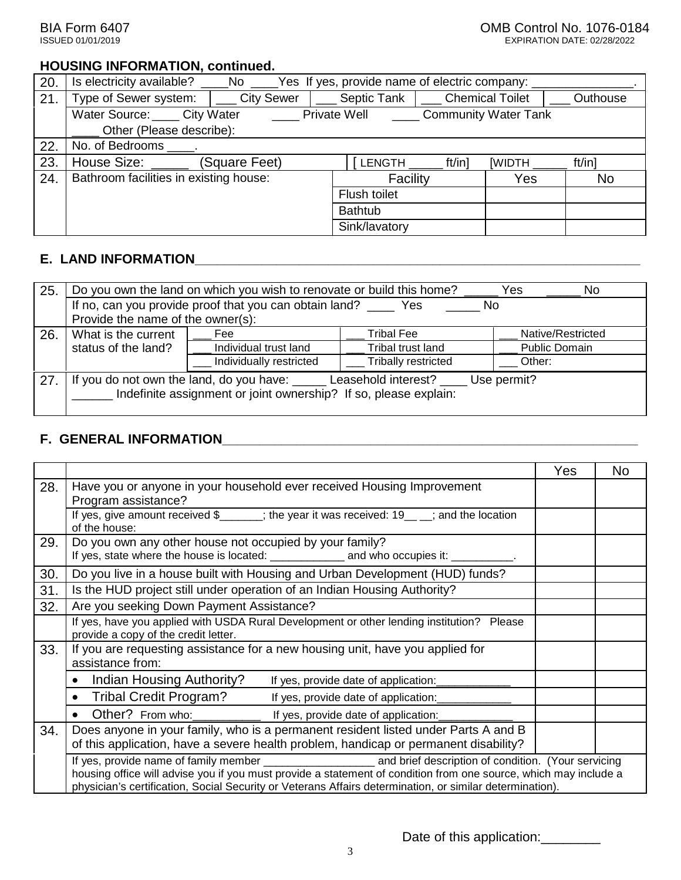### **HOUSING INFORMATION, continued.**

| 20. | Yes If yes, provide name of electric company:<br>Is electricity available?<br>_No _____ |                   |                 |                             |                        |          |  |
|-----|-----------------------------------------------------------------------------------------|-------------------|-----------------|-----------------------------|------------------------|----------|--|
| 21. | Type of Sewer system:                                                                   | <b>City Sewer</b> | Septic Tank     |                             | <b>Chemical Toilet</b> | Outhouse |  |
|     | Water Source: City Water                                                                |                   | Private Well    | <b>Community Water Tank</b> |                        |          |  |
|     | Other (Please describe):                                                                |                   |                 |                             |                        |          |  |
| 22. | No. of Bedrooms .                                                                       |                   |                 |                             |                        |          |  |
| 23. | House Size:                                                                             | (Square Feet)     | <b>LENGTH</b>   | ft/in]                      | <b>[WIDTH</b>          | ft/in]   |  |
| 24. | Bathroom facilities in existing house:                                                  |                   | Facility<br>Yes |                             |                        |          |  |
|     | Flush toilet                                                                            |                   |                 |                             |                        |          |  |
|     |                                                                                         |                   | <b>Bathtub</b>  |                             |                        |          |  |
|     |                                                                                         |                   | Sink/lavatory   |                             |                        |          |  |

## **E. LAND INFORMATION\_\_\_\_\_\_\_\_\_\_\_\_\_\_\_\_\_\_\_\_\_\_\_\_\_\_\_\_\_\_\_\_\_\_\_\_\_\_\_\_\_\_\_\_\_\_\_\_\_\_\_\_\_\_\_\_\_\_\_\_**

| 25. | Do you own the land on which you wish to renovate or build this home?<br>Yes<br>No.                                                                      |                                                        |                     |                      |  |  |
|-----|----------------------------------------------------------------------------------------------------------------------------------------------------------|--------------------------------------------------------|---------------------|----------------------|--|--|
|     |                                                                                                                                                          | If no, can you provide proof that you can obtain land? | Yes<br>No.          |                      |  |  |
|     | Provide the name of the owner(s):                                                                                                                        |                                                        |                     |                      |  |  |
| 26. | What is the current                                                                                                                                      | Fee                                                    | Tribal Fee          | Native/Restricted    |  |  |
|     | status of the land?                                                                                                                                      | Individual trust land                                  | Tribal trust land   | <b>Public Domain</b> |  |  |
|     |                                                                                                                                                          | Individually restricted                                | Tribally restricted | Other:               |  |  |
| 27  | If you do not own the land, do you have: ______ Leasehold interest? _<br>Use permit?<br>Indefinite assignment or joint ownership? If so, please explain: |                                                        |                     |                      |  |  |

### **F. GENERAL INFORMATION\_\_\_\_\_\_\_\_\_\_\_\_\_\_\_\_\_\_\_\_\_\_\_\_\_\_\_\_\_\_\_\_\_\_\_\_\_\_\_\_\_\_\_\_\_\_\_\_\_\_\_\_\_\_\_\_**

|     |                                                                                                                                                                                                                              | Yes | No. |
|-----|------------------------------------------------------------------------------------------------------------------------------------------------------------------------------------------------------------------------------|-----|-----|
| 28. | Have you or anyone in your household ever received Housing Improvement<br>Program assistance?                                                                                                                                |     |     |
|     | If yes, give amount received $\frac{1}{2}$ ; the year it was received: 19 ; and the location<br>of the house:                                                                                                                |     |     |
| 29. | Do you own any other house not occupied by your family?                                                                                                                                                                      |     |     |
| 30. | Do you live in a house built with Housing and Urban Development (HUD) funds?                                                                                                                                                 |     |     |
| 31. | Is the HUD project still under operation of an Indian Housing Authority?                                                                                                                                                     |     |     |
| 32. | Are you seeking Down Payment Assistance?                                                                                                                                                                                     |     |     |
|     | If yes, have you applied with USDA Rural Development or other lending institution? Please<br>provide a copy of the credit letter.                                                                                            |     |     |
| 33. | If you are requesting assistance for a new housing unit, have you applied for<br>assistance from:                                                                                                                            |     |     |
|     | Indian Housing Authority?<br>If yes, provide date of application:                                                                                                                                                            |     |     |
|     | Tribal Credit Program? ______ If yes, provide date of application:                                                                                                                                                           |     |     |
|     | Other? From who: ________________ If yes, provide date of application:                                                                                                                                                       |     |     |
| 34. | Does anyone in your family, who is a permanent resident listed under Parts A and B                                                                                                                                           |     |     |
|     | of this application, have a severe health problem, handicap or permanent disability?                                                                                                                                         |     |     |
|     | housing office will advise you if you must provide a statement of condition from one source, which may include a<br>physician's certification, Social Security or Veterans Affairs determination, or similar determination). |     |     |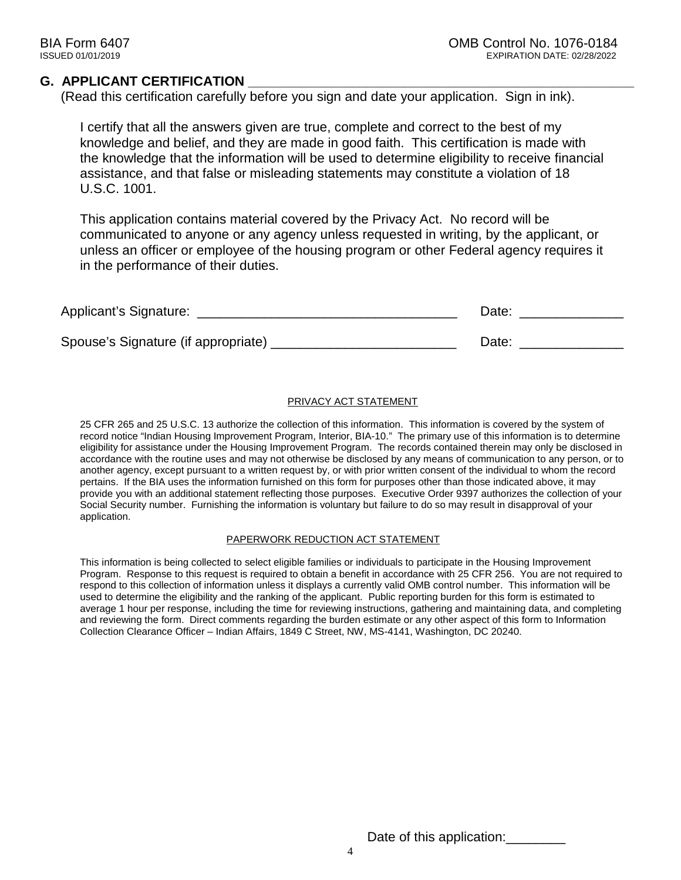### **G. APPLICANT CERTIFICATION**

(Read this certification carefully before you sign and date your application. Sign in ink).

I certify that all the answers given are true, complete and correct to the best of my knowledge and belief, and they are made in good faith. This certification is made with the knowledge that the information will be used to determine eligibility to receive financial assistance, and that false or misleading statements may constitute a violation of 18 U.S.C. 1001.

This application contains material covered by the Privacy Act. No record will be communicated to anyone or any agency unless requested in writing, by the applicant, or unless an officer or employee of the housing program or other Federal agency requires it in the performance of their duties.

| Applicant's Signature:              | Date: |
|-------------------------------------|-------|
| Spouse's Signature (if appropriate) | Date: |
|                                     |       |

#### PRIVACY ACT STATEMENT

25 CFR 265 and 25 U.S.C. 13 authorize the collection of this information. This information is covered by the system of record notice "Indian Housing Improvement Program, Interior, BIA-10." The primary use of this information is to determine eligibility for assistance under the Housing Improvement Program. The records contained therein may only be disclosed in accordance with the routine uses and may not otherwise be disclosed by any means of communication to any person, or to another agency, except pursuant to a written request by, or with prior written consent of the individual to whom the record pertains. If the BIA uses the information furnished on this form for purposes other than those indicated above, it may provide you with an additional statement reflecting those purposes. Executive Order 9397 authorizes the collection of your Social Security number. Furnishing the information is voluntary but failure to do so may result in disapproval of your application.

#### PAPERWORK REDUCTION ACT STATEMENT

This information is being collected to select eligible families or individuals to participate in the Housing Improvement Program. Response to this request is required to obtain a benefit in accordance with 25 CFR 256. You are not required to respond to this collection of information unless it displays a currently valid OMB control number. This information will be used to determine the eligibility and the ranking of the applicant. Public reporting burden for this form is estimated to average 1 hour per response, including the time for reviewing instructions, gathering and maintaining data, and completing and reviewing the form. Direct comments regarding the burden estimate or any other aspect of this form to Information Collection Clearance Officer – Indian Affairs, 1849 C Street, NW, MS-4141, Washington, DC 20240.

Date of this application: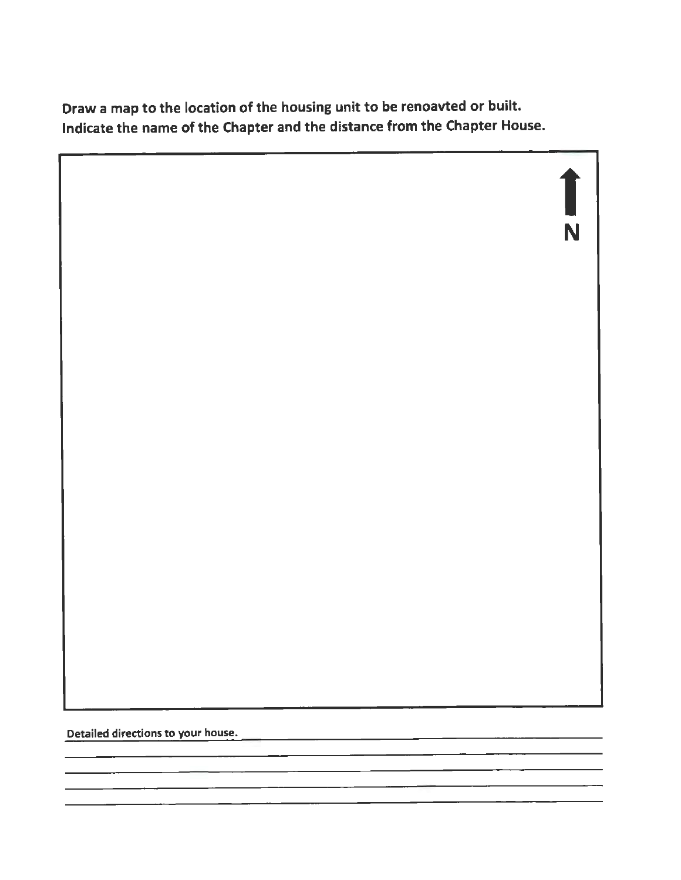Draw a map to the location of the housing unit to be renoavted or built. Indicate the name of the Chapter and the distance from the Chapter House.

 $\prod_{n=1}$ N

Detailed directions to your house.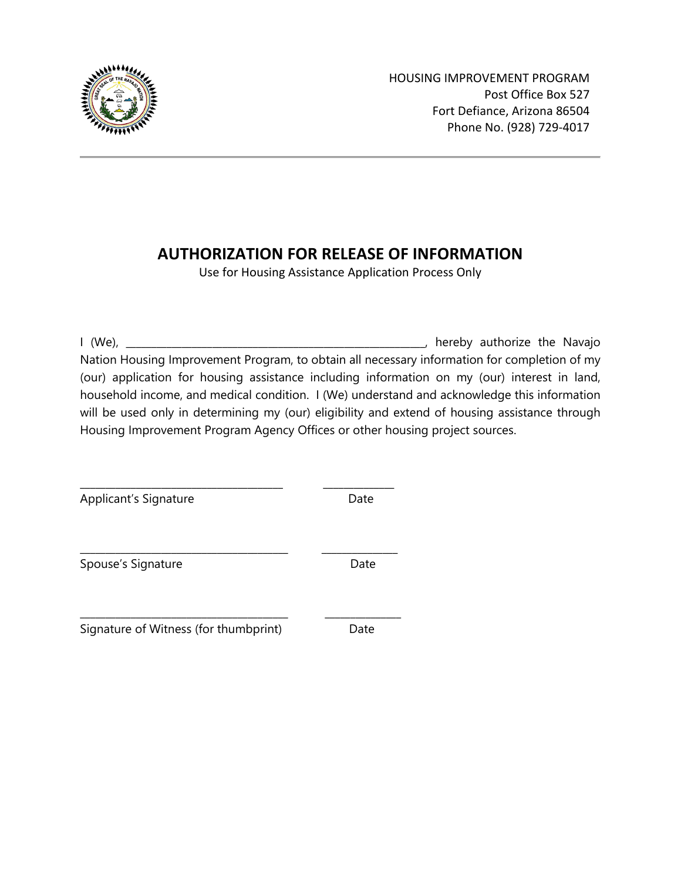

HOUSING IMPROVEMENT PROGRAM Post Office Box 527 Fort Defiance, Arizona 86504 Phone No. (928) 729-4017

# **AUTHORIZATION FOR RELEASE OF INFORMATION**

Use for Housing Assistance Application Process Only

I (We), \_\_\_\_\_\_\_\_\_\_\_\_\_\_\_\_\_\_\_\_\_\_\_\_\_\_\_\_\_\_\_\_\_\_\_\_\_\_\_\_\_\_\_\_\_\_\_\_\_\_\_\_\_\_\_\_\_\_\_, hereby authorize the Navajo Nation Housing Improvement Program, to obtain all necessary information for completion of my (our) application for housing assistance including information on my (our) interest in land, household income, and medical condition. I (We) understand and acknowledge this information will be used only in determining my (our) eligibility and extend of housing assistance through Housing Improvement Program Agency Offices or other housing project sources.

Applicant's Signature Date

Spouse's Signature **Date** Date

Signature of Witness (for thumbprint) Date

\_\_\_\_\_\_\_\_\_\_\_\_\_\_\_\_\_\_\_\_\_\_\_\_\_\_\_\_\_\_\_\_\_\_\_\_\_\_\_\_ \_\_\_\_\_\_\_\_\_\_\_\_\_\_

\_\_\_\_\_\_\_\_\_\_\_\_\_\_\_\_\_\_\_\_\_\_\_\_\_\_\_\_\_\_\_\_\_\_\_\_\_\_\_\_\_ \_\_\_\_\_\_\_\_\_\_\_\_\_\_\_

\_\_\_\_\_\_\_\_\_\_\_\_\_\_\_\_\_\_\_\_\_\_\_\_\_\_\_\_\_\_\_\_\_\_\_\_\_\_\_\_\_ \_\_\_\_\_\_\_\_\_\_\_\_\_\_\_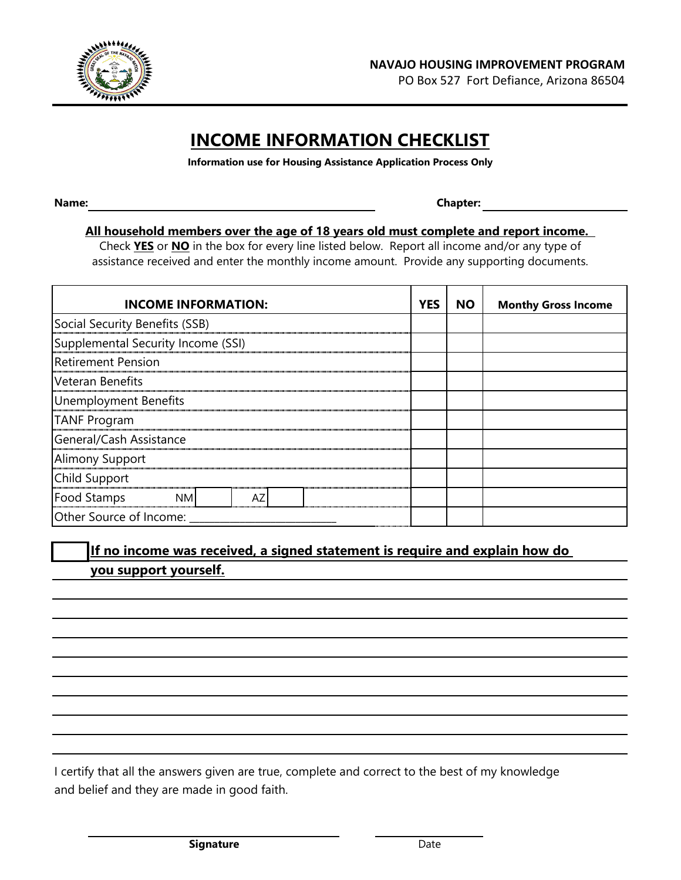

PO Box 527 Fort Defiance, Arizona 86504

# **INCOME INFORMATION CHECKLIST**

**Information use for Housing Assistance Application Process Only**

**Name: Chapter:**

### **All household members over the age of 18 years old must complete and report income.**

assistance received and enter the monthly income amount. Provide any supporting documents. Check **YES** or **NO** in the box for every line listed below. Report all income and/or any type of

| <b>INCOME INFORMATION:</b>         | <b>YES</b> | <b>NO</b> | <b>Monthy Gross Income</b> |  |  |
|------------------------------------|------------|-----------|----------------------------|--|--|
| Social Security Benefits (SSB)     |            |           |                            |  |  |
| Supplemental Security Income (SSI) |            |           |                            |  |  |
| <b>Retirement Pension</b>          |            |           |                            |  |  |
| Veteran Benefits                   |            |           |                            |  |  |
| Unemployment Benefits              |            |           |                            |  |  |
| <b>TANF Program</b>                |            |           |                            |  |  |
| General/Cash Assistance            |            |           |                            |  |  |
| <b>Alimony Support</b>             |            |           |                            |  |  |
| Child Support                      |            |           |                            |  |  |
| <b>Food Stamps</b><br>NM           |            |           |                            |  |  |
| Other Source of Income:            |            |           |                            |  |  |

## **If no income was received, a signed statement is require and explain how do you support yourself.**

I certify that all the answers given are true, complete and correct to the best of my knowledge and belief and they are made in good faith.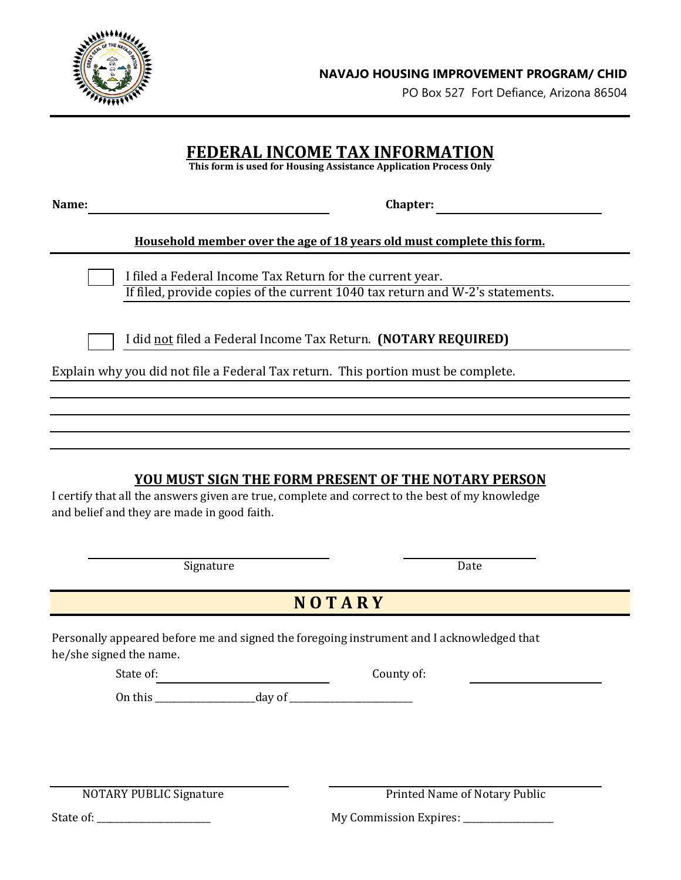

PO Box 527 Fort Defiance, Arizona 86504

## **FEDERAL INCOME TAX INFORMATION**

**This form is used for Housing Assistance Application Process Only**

| vame |  |
|------|--|
|------|--|

**Chapter: Name of Stringers** 

### **Household member over the age of 18 years old must complete this form.**

I filed a Federal Income Tax Return for the current year. If filed, provide copies of the current 1040 tax return and W-2's statements.

I did not filed a Federal Income Tax Return. **(NOTARY REQUIRED)**

Explain why you did not file a Federal Tax return. This portion must be complete.

## **YOU MUST SIGN THE FORM PRESENT OF THE NOTARY PERSON**

I certify that all the answers given are true, complete and correct to the best of my knowledge and belief and they are made in good faith.

**Signature** 

Date

# **N O T A R Y**

Personally appeared before me and signed the foregoing instrument and I acknowledged that he/she signed the name.

State of: County of:

On this \_\_\_\_\_\_\_\_\_\_\_\_\_\_\_\_\_\_\_\_\_\_day of \_\_\_\_\_\_\_\_\_\_\_\_\_\_\_\_\_\_\_\_\_\_\_\_\_\_\_

NOTARY PUBLIC Signature Printed Name of Notary Public

State of: \_\_\_\_\_\_\_\_\_\_\_\_\_\_\_\_\_\_\_\_\_\_\_\_\_ My Commission Expires: \_\_\_\_\_\_\_\_\_\_\_\_\_\_\_\_\_\_\_\_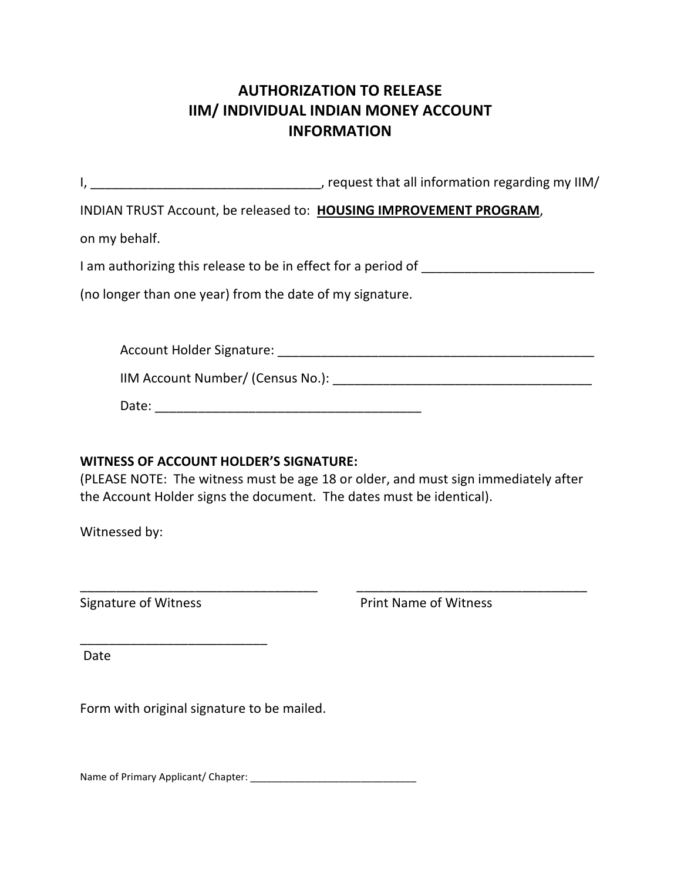# **AUTHORIZATION TO RELEASE IIM/ INDIVIDUAL INDIAN MONEY ACCOUNT INFORMATION**

|                                                          | , request that all information regarding my IIM/                                  |
|----------------------------------------------------------|-----------------------------------------------------------------------------------|
|                                                          | INDIAN TRUST Account, be released to: HOUSING IMPROVEMENT PROGRAM,                |
| on my behalf.                                            |                                                                                   |
|                                                          | I am authorizing this release to be in effect for a period of ___________________ |
| (no longer than one year) from the date of my signature. |                                                                                   |
|                                                          |                                                                                   |
|                                                          |                                                                                   |
|                                                          |                                                                                   |
| Date:                                                    |                                                                                   |

### **WITNESS OF ACCOUNT HOLDER'S SIGNATURE:**

(PLEASE NOTE: The witness must be age 18 or older, and must sign immediately after the Account Holder signs the document. The dates must be identical).

\_\_\_\_\_\_\_\_\_\_\_\_\_\_\_\_\_\_\_\_\_\_\_\_\_\_\_\_\_\_\_\_\_ \_\_\_\_\_\_\_\_\_\_\_\_\_\_\_\_\_\_\_\_\_\_\_\_\_\_\_\_\_\_\_\_

Witnessed by:

\_\_\_\_\_\_\_\_\_\_\_\_\_\_\_\_\_\_\_\_\_\_\_\_\_\_

Signature of Witness **Print Name of Witness** 

Date

Form with original signature to be mailed.

Name of Primary Applicant/ Chapter: \_\_\_\_\_\_\_\_\_\_\_\_\_\_\_\_\_\_\_\_\_\_\_\_\_\_\_\_\_\_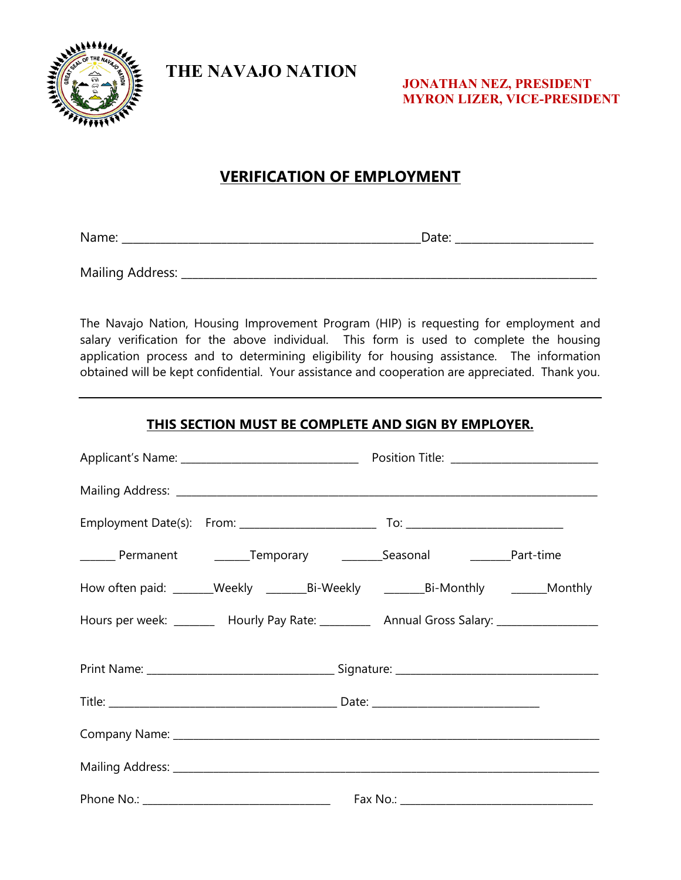

**THE NAVAJO NATION**

**JONATHAN NEZ, PRESIDENT MYRON LIZER, VICE-PRESIDENT**

## **VERIFICATION OF EMPLOYMENT**

Name: \_\_\_\_\_\_\_\_\_\_\_\_\_\_\_\_\_\_\_\_\_\_\_\_\_\_\_\_\_\_\_\_\_\_\_\_\_\_\_\_\_\_\_\_\_\_\_\_\_\_\_\_\_\_Date: \_\_\_\_\_\_\_\_\_\_\_\_\_\_\_\_\_\_\_\_\_\_\_\_\_

Mailing Address: \_\_\_\_\_\_\_\_\_\_\_\_\_\_\_\_\_\_\_\_\_\_\_\_\_\_\_\_\_\_\_\_\_\_\_\_\_\_\_\_\_\_\_\_\_\_\_\_\_\_\_\_\_\_\_\_\_\_\_\_\_\_\_\_\_\_\_\_\_\_\_\_\_\_\_

The Navajo Nation, Housing Improvement Program (HIP) is requesting for employment and salary verification for the above individual. This form is used to complete the housing application process and to determining eligibility for housing assistance. The information obtained will be kept confidential. Your assistance and cooperation are appreciated. Thank you.

## **THIS SECTION MUST BE COMPLETE AND SIGN BY EMPLOYER.**

| _______ Permanent _________Temporary _____________Seasonal ________________Part-time                      |  |  |
|-----------------------------------------------------------------------------------------------------------|--|--|
| How often paid: _______Weekly ____________________Bi-Weekly ________________Bi-Monthly ___________Monthly |  |  |
| Hours per week: ________ Hourly Pay Rate: _________ Annual Gross Salary: _______________                  |  |  |
|                                                                                                           |  |  |
|                                                                                                           |  |  |
|                                                                                                           |  |  |
|                                                                                                           |  |  |
|                                                                                                           |  |  |